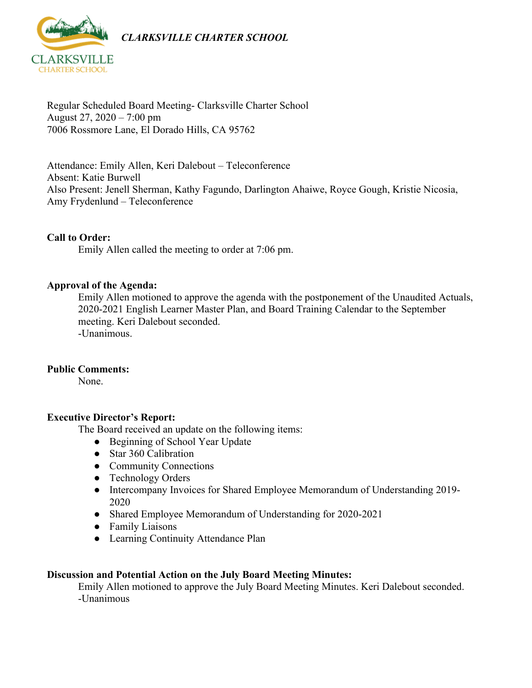

Regular Scheduled Board Meeting- Clarksville Charter School August 27, 2020 – 7:00 pm 7006 Rossmore Lane, El Dorado Hills, CA 95762

Attendance: Emily Allen, Keri Dalebout – Teleconference Absent: Katie Burwell Also Present: Jenell Sherman, Kathy Fagundo, Darlington Ahaiwe, Royce Gough, Kristie Nicosia, Amy Frydenlund – Teleconference

#### **Call to Order:**

Emily Allen called the meeting to order at 7:06 pm.

#### **Approval of the Agenda:**

Emily Allen motioned to approve the agenda with the postponement of the Unaudited Actuals, 2020-2021 English Learner Master Plan, and Board Training Calendar to the September meeting. Keri Dalebout seconded. -Unanimous.

#### **Public Comments:**

None.

#### **Executive Director's Report:**

The Board received an update on the following items:

- Beginning of School Year Update
- Star 360 Calibration
- Community Connections
- Technology Orders
- Intercompany Invoices for Shared Employee Memorandum of Understanding 2019- 2020
- Shared Employee Memorandum of Understanding for 2020-2021
- Family Liaisons
- Learning Continuity Attendance Plan

#### **Discussion and Potential Action on the July Board Meeting Minutes:**

Emily Allen motioned to approve the July Board Meeting Minutes. Keri Dalebout seconded. -Unanimous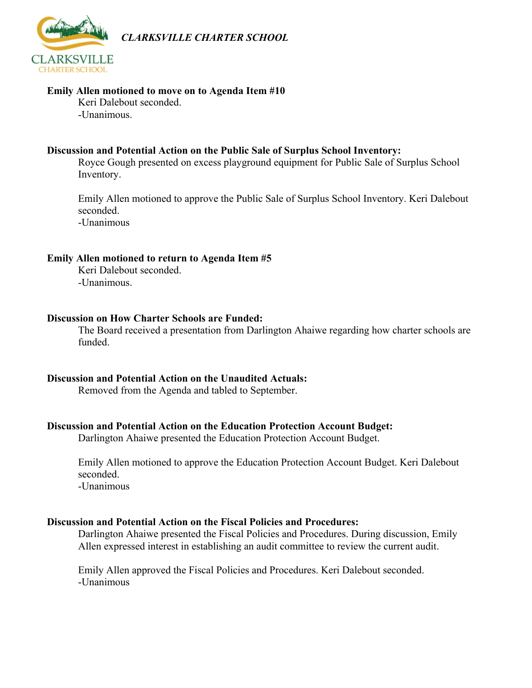

*CLARKSVILLE CHARTER SCHOOL*

### **Emily Allen motioned to move on to Agenda Item #10**

Keri Dalebout seconded. -Unanimous.

#### **Discussion and Potential Action on the Public Sale of Surplus School Inventory:**

Royce Gough presented on excess playground equipment for Public Sale of Surplus School Inventory.

Emily Allen motioned to approve the Public Sale of Surplus School Inventory. Keri Dalebout seconded.

-Unanimous

#### **Emily Allen motioned to return to Agenda Item #5**

Keri Dalebout seconded. -Unanimous.

#### **Discussion on How Charter Schools are Funded:**

The Board received a presentation from Darlington Ahaiwe regarding how charter schools are funded.

#### **Discussion and Potential Action on the Unaudited Actuals:**

Removed from the Agenda and tabled to September.

#### **Discussion and Potential Action on the Education Protection Account Budget:**

Darlington Ahaiwe presented the Education Protection Account Budget.

Emily Allen motioned to approve the Education Protection Account Budget. Keri Dalebout seconded. -Unanimous

#### **Discussion and Potential Action on the Fiscal Policies and Procedures:**

Darlington Ahaiwe presented the Fiscal Policies and Procedures. During discussion, Emily Allen expressed interest in establishing an audit committee to review the current audit.

Emily Allen approved the Fiscal Policies and Procedures. Keri Dalebout seconded. -Unanimous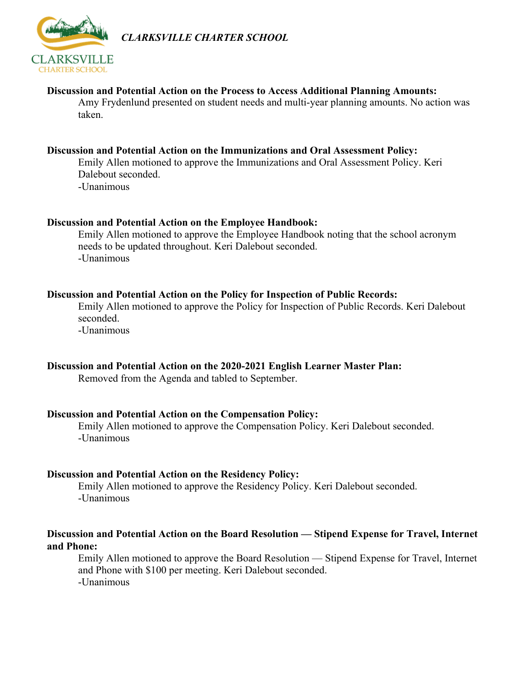

*CLARKSVILLE CHARTER SCHOOL*

#### **Discussion and Potential Action on the Process to Access Additional Planning Amounts:**

Amy Frydenlund presented on student needs and multi-year planning amounts. No action was taken.

#### **Discussion and Potential Action on the Immunizations and Oral Assessment Policy:**

Emily Allen motioned to approve the Immunizations and Oral Assessment Policy. Keri Dalebout seconded. -Unanimous

#### **Discussion and Potential Action on the Employee Handbook:**

Emily Allen motioned to approve the Employee Handbook noting that the school acronym needs to be updated throughout. Keri Dalebout seconded. -Unanimous

#### **Discussion and Potential Action on the Policy for Inspection of Public Records:**

Emily Allen motioned to approve the Policy for Inspection of Public Records. Keri Dalebout seconded.

-Unanimous

#### **Discussion and Potential Action on the 2020-2021 English Learner Master Plan:**

Removed from the Agenda and tabled to September.

#### **Discussion and Potential Action on the Compensation Policy:**

Emily Allen motioned to approve the Compensation Policy. Keri Dalebout seconded. -Unanimous

#### **Discussion and Potential Action on the Residency Policy:**

Emily Allen motioned to approve the Residency Policy. Keri Dalebout seconded. -Unanimous

#### **Discussion and Potential Action on the Board Resolution — Stipend Expense for Travel, Internet and Phone:**

Emily Allen motioned to approve the Board Resolution — Stipend Expense for Travel, Internet and Phone with \$100 per meeting. Keri Dalebout seconded. -Unanimous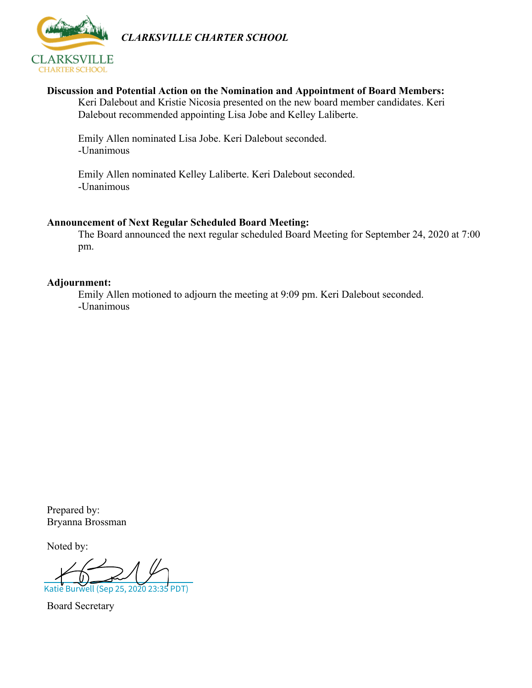

*CLARKSVILLE CHARTER SCHOOL*

#### **Discussion and Potential Action on the Nomination and Appointment of Board Members:**

Keri Dalebout and Kristie Nicosia presented on the new board member candidates. Keri Dalebout recommended appointing Lisa Jobe and Kelley Laliberte.

Emily Allen nominated Lisa Jobe. Keri Dalebout seconded. -Unanimous

Emily Allen nominated Kelley Laliberte. Keri Dalebout seconded. -Unanimous

#### **Announcement of Next Regular Scheduled Board Meeting:**

The Board announced the next regular scheduled Board Meeting for September 24, 2020 at 7:00 pm.

#### **Adjournment:**

Emily Allen motioned to adjourn the meeting at 9:09 pm. Keri Dalebout seconded. -Unanimous

Prepared by: Bryanna Brossman

Noted by:

Katie Burwell (Sep 25, 2020 23:3

Board Secretary